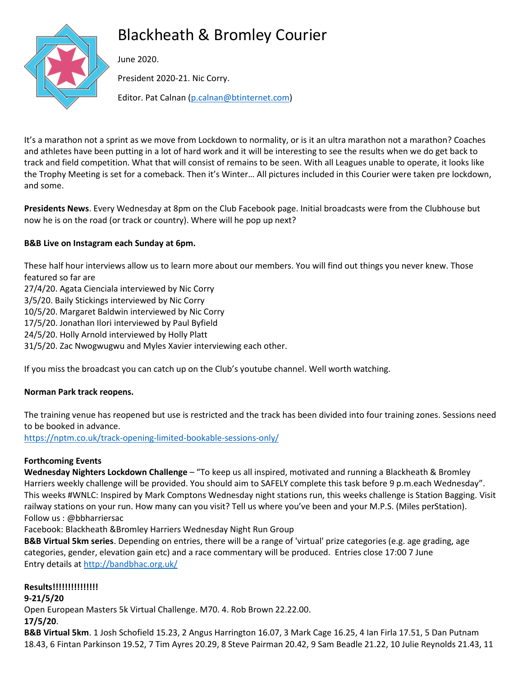# Blackheath & Bromley Courier



June 2020.

President 2020-21. Nic Corry.

Editor. Pat Calnan [\(p.calnan@btinternet.com\)](mailto:p.calnan@btinternet.com)

It's a marathon not a sprint as we move from Lockdown to normality, or is it an ultra marathon not a marathon? Coaches and athletes have been putting in a lot of hard work and it will be interesting to see the results when we do get back to track and field competition. What that will consist of remains to be seen. With all Leagues unable to operate, it looks like the Trophy Meeting is set for a comeback. Then it's Winter… All pictures included in this Courier were taken pre lockdown, and some.

**Presidents News**. Every Wednesday at 8pm on the Club Facebook page. Initial broadcasts were from the Clubhouse but now he is on the road (or track or country). Where will he pop up next?

# **B&B Live on Instagram each Sunday at 6pm.**

These half hour interviews allow us to learn more about our members. You will find out things you never knew. Those featured so far are 27/4/20. Agata Cienciala interviewed by Nic Corry 3/5/20. Baily Stickings interviewed by Nic Corry 10/5/20. Margaret Baldwin interviewed by Nic Corry 17/5/20. Jonathan Ilori interviewed by Paul Byfield 24/5/20. Holly Arnold interviewed by Holly Platt 31/5/20. Zac Nwogwugwu and Myles Xavier interviewing each other.

If you miss the broadcast you can catch up on the Club's youtube channel. Well worth watching.

# **Norman Park track reopens.**

The training venue has reopened but use is restricted and the track has been divided into four training zones. Sessions need to be booked in advance.

<https://nptm.co.uk/track-opening-limited-bookable-sessions-only/>

# **Forthcoming Events**

**Wednesday Nighters Lockdown Challenge** – "To keep us all inspired, motivated and running a Blackheath & Bromley Harriers weekly challenge will be provided. You should aim to SAFELY complete this task before 9 p.m.each Wednesday". This weeks #WNLC: Inspired by Mark Comptons Wednesday night stations run, this weeks challenge is Station Bagging. Visit railway stations on your run. How many can you visit? Tell us where you've been and your M.P.S. (Miles perStation). Follow us : @bbharriersac

Facebook: Blackheath &Bromley Harriers Wednesday Night Run Group

**B&B Virtual 5km series**. Depending on entries, there will be a range of 'virtual' prize categories (e.g. age grading, age categories, gender, elevation gain etc) and a race commentary will be produced. Entries close 17:00 7 June Entry details at<http://bandbhac.org.uk/>

# **Results!!!!!!!!!!!!!!!**

# **9-21/5/20**

Open European Masters 5k Virtual Challenge. M70. 4. Rob Brown 22.22.00.

**17/5/20**.

**B&B Virtual 5km**. 1 Josh Schofield 15.23, 2 Angus Harrington 16.07, 3 Mark Cage 16.25, 4 Ian Firla 17.51, 5 Dan Putnam 18.43, 6 Fintan Parkinson 19.52, 7 Tim Ayres 20.29, 8 Steve Pairman 20.42, 9 Sam Beadle 21.22, 10 Julie Reynolds 21.43, 11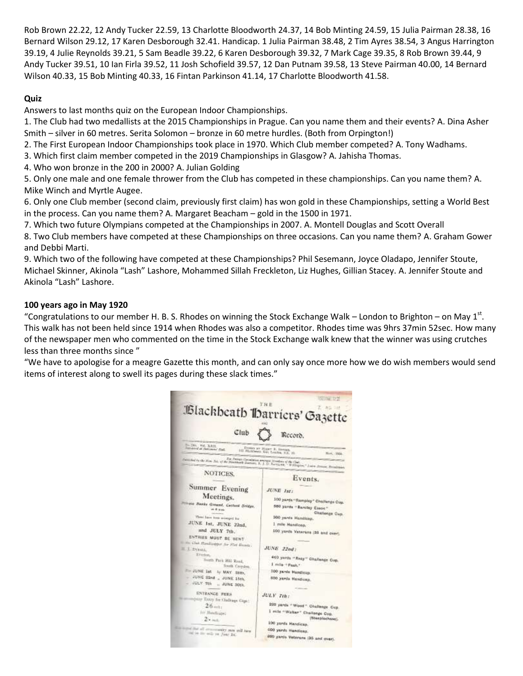Rob Brown 22.22, 12 Andy Tucker 22.59, 13 Charlotte Bloodworth 24.37, 14 Bob Minting 24.59, 15 Julia Pairman 28.38, 16 Bernard Wilson 29.12, 17 Karen Desborough 32.41. Handicap. 1 Julia Pairman 38.48, 2 Tim Ayres 38.54, 3 Angus Harrington 39.19, 4 Julie Reynolds 39.21, 5 Sam Beadle 39.22, 6 Karen Desborough 39.32, 7 Mark Cage 39.35, 8 Rob Brown 39.44, 9 Andy Tucker 39.51, 10 Ian Firla 39.52, 11 Josh Schofield 39.57, 12 Dan Putnam 39.58, 13 Steve Pairman 40.00, 14 Bernard Wilson 40.33, 15 Bob Minting 40.33, 16 Fintan Parkinson 41.14, 17 Charlotte Bloodworth 41.58.

## **Quiz**

Answers to last months quiz on the European Indoor Championships.

1. The Club had two medallists at the 2015 Championships in Prague. Can you name them and their events? A. Dina Asher Smith – silver in 60 metres. Serita Solomon – bronze in 60 metre hurdles. (Both from Orpington!)

2. The First European Indoor Championships took place in 1970. Which Club member competed? A. Tony Wadhams.

3. Which first claim member competed in the 2019 Championships in Glasgow? A. Jahisha Thomas.

4. Who won bronze in the 200 in 2000? A. Julian Golding

5. Only one male and one female thrower from the Club has competed in these championships. Can you name them? A. Mike Winch and Myrtle Augee.

6. Only one Club member (second claim, previously first claim) has won gold in these Championships, setting a World Best in the process. Can you name them? A. Margaret Beacham – gold in the 1500 in 1971.

7. Which two future Olympians competed at the Championships in 2007. A. Montell Douglas and Scott Overall

8. Two Club members have competed at these Championships on three occasions. Can you name them? A. Graham Gower and Debbi Marti.

9. Which two of the following have competed at these Championships? Phil Sesemann, Joyce Oladapo, Jennifer Stoute, Michael Skinner, Akinola "Lash" Lashore, Mohammed Sillah Freckleton, Liz Hughes, Gillian Stacey. A. Jennifer Stoute and Akinola "Lash" Lashore.

### **100 years ago in May 1920**

"Congratulations to our member H. B. S. Rhodes on winning the Stock Exchange Walk – London to Brighton – on May 1st. This walk has not been held since 1914 when Rhodes was also a competitor. Rhodes time was 9hrs 37min 52sec. How many of the newspaper men who commented on the time in the Stock Exchange walk knew that the winner was using crutches less than three months since "

"We have to apologise for a meagre Gazette this month, and can only say once more how we do wish members would send items of interest along to swell its pages during these slack times."

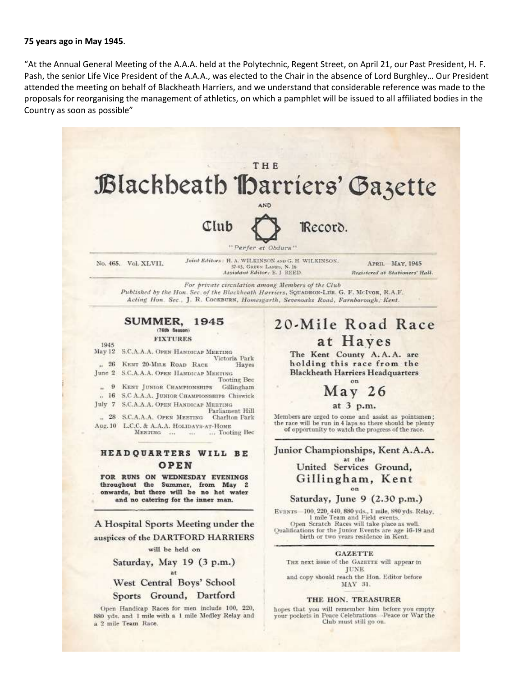#### **75 years ago in May 1945**.

"At the Annual General Meeting of the A.A.A. held at the Polytechnic, Regent Street, on April 21, our Past President, H. F. Pash, the senior Life Vice President of the A.A.A., was elected to the Chair in the absence of Lord Burghley… Our President attended the meeting on behalf of Blackheath Harriers, and we understand that considerable reference was made to the proposals for reorganising the management of athletics, on which a pamphlet will be issued to all affiliated bodies in the Country as soon as possible"

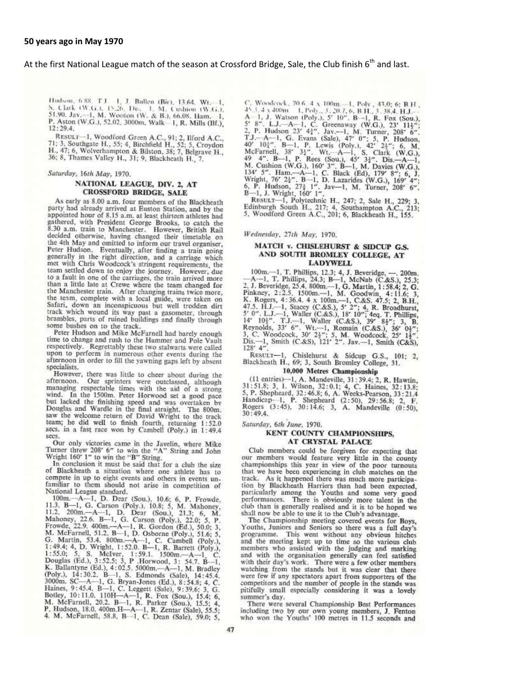#### At the first National League match of the season at Crossford Bridge, Sale, the Club finish 6<sup>th</sup> and last.

Hudson, 6.88, T.J., J., Ballen (Bir), 13.64, Wt.-1, 5. Clark (W.G.), 15.26, Dis., 1, M. Cushion (W.G.), 51.90, Jav.-1, M. Wooton (W. & B.), 66.08, Ham., -1, P. Astron (W.G.), P. Astron (W.G.), P. Aston (W.G.), 52.02, 3000m, Walk 1, R. Mills (Ilf.),  $12:29.4$ 

RESULT-1, Woodford Green A.C., 91; 2, Ilford A.C., 71; 3, Southgate H., 55; 4, Birchfield H., 52; 5, Croydon H., 47; 6, Wolverhampton & Bilston, 38; 7, Belgrave H., 36; 8, Thames Valley H., 31; 9, Blackheath H., 7.

#### Saturday, 16th May, 1970.

#### NATIONAL LEAGUE, DIV. 2, AT **CROSSFORD BRIDGE, SALE**

As early as 8.00 a.m. four members of the Blackheath party had already arrived at Euston Station, and by the<br>appointed hour of 8.15 a.m. at least thirteen athletes had gathered, with President George Brooks, to catch the 8.30 a.m. train to Manchester. However, British Rail decided otherwise, having changed their timetable on the 4th May and omitted to inform our travel organiser, The Hudson. Eventually, after finding a train going<br>generally in the right direction, and a carriage which net with Chris Woodcock's stringent requirements, the<br>team settled down to enjoy the journey. However, due<br>team settled down to enjoy the journey. However, due to a fault in one of the carriages, the train arrived more to a name in one of the actually where the team changed for<br>the Manchester train. After changing trains twice more,<br>the team, complete with a local guide, were taken on<br>between the team. Safari, down an inconspicuous but well trodden dirt track which wound its way past a gasometer, through brambles, parts of ruined buildings and finally through some bushes on to the track.

Peter Hudson and Mike McFarnell had barely enough time to change and rush to the Hammer and Pole Vault respectively. Regrettably these two stalwarts were called upon to perform in numerous other events during the afternoon in order to fill the yawning gaps left by absent specialists.

specialists.<br>
However, there was little to cheer about during the<br>
afternoon. Our sprinters were outclassed, although<br>
managing respectable times with the aid of a strong<br>
wind. In the 1500m. Peter Horwwood set a good pace but lacked the finishing speed and was overtaken by Douglas and Wardle in the final straight. The 800m. saw the welcome return of David Wright to the track team; he did well to finish fourth, returning 1:52.0<br>secs. in a fast race won by Cambell (Poly.) in 1:49.4 secs.

Our only victories came in the Javelin, where Mike<br>Turner threw 208' 6" to win the "A" String and John<br>Wright 160' 1" to win the "B" String.

In conclusion it must be said that for a club the size of Blackheath a situation where one athlete has to or backneath a situation where one athlete has to<br>compete in up to eight events and others in events un-<br>familiar to them should not arise in competition of

compete in up to eight events and others in events un-<br>familiar to them should not arise in competition of<br>Mational League standard.<br>100m,--A--1, D. Dear (Sou.), 10.6; 6, P. Frowde,<br>11.3. B--1, G. Carson (Poly.), 10.8; 5,

C. Woodcock, 70.6. 4 x 100m.-1, Poly, 43.0; 6; B H,  $43.4 \times 400$ m. 1, Poly, 3, 20.7, 6, B H, 3, 38.4, H, J,  $A-1$ , J. Watson (Poly.), 5' 10", B--1, R. Fox (Sou.), 5' 8". LJ,  $-A-1$ , C. Greenaway (W.G.), 23' 113<sup>x</sup>;<br>2, P. H C. Woodcock, 70.6, 4 x 100m,-1, Poly , 43.0; 6; B.H.,

RESULT-1, Polytechnic H., 247; 2, Sale H., 229; 3,<br>Edinburgh South H., 217; 4, Southampton A.C., 213;<br>5, Woodford Green A.C., 201; 6, Blackheath H., 155.

Wednesday, 27th May, 1970.

#### MATCH v. CHISLEHURST & SIDCUP G.S. AND SOUTH BROMLEY COLLEGE, AT **LADYWELL**

LADYWELL<br>
100m.-1, T. Phillips, 12.3; 4, J. Beveridge, --. 200m.<br>
-A--1, T. Phillips, 12.3; 4, J. Beveridge, --. 200m.<br>
2. J. Beveridge, 25.4. 800m.-1, G. Martin, 1:58.4; 2, G.<br>
Pinkney, 2:2.5, 1500m.-1, M. Goodwin, 4:11.  $128'$  4"

RESULT-1, Chislehurst & Sidcup G.S., 101; 2, Blackheath H., 69; 3, South Bromley College, 31.

#### 10,000 Metres Championship

**10,000 Metres Championship**<br>
(11 entries)-1, A. Mandeville, 31:39.4; 2, R. Hawtin, 31:51.8; 3, 1. Wilson, 32:0.1; 4, C. Haines, 32:13.8;<br>
5, P. Shepheard, 32:46.8; 6, A. Weeks-Pearson, 33:21.4<br>
Handicap-1, P. Shepheard (

Saturday, 6th June, 1970.

#### KENT COUNTY CHAMPIONSHIPS, **AT CRYSTAL PALACE**

Club members could be forgiven for expecting that our members would feature very little in the county championships this year in view of the poor turnouts that we have been experiencing in club matches on the track. As it happened there was much more participa-<br>tion by Blackheath Harriers than had been expected, particularly among the Youths and some very good performances. There is obviously more talent in the club than is generally realised and it is to be hoped we shall now be able to use it to the Club's advantage.

The Championship meeting covered events for Boys, The Championship meeting covered events for Boys,<br>Youths, Juniors and Seniors so there was a full day's<br>programme. This went without any obvious hitches and the meeting kept up to time so the various club<br>members who assisted with the judging and marking and with the organisation generally can feel satisfied with their day's work. There were a few other members watching from the stands but it was clear that there were few if any spectators apart from supporters of the competitors and the number of people in the stands was pitifully small especially considering it was a lovely summer's day.

There were several Championship Best Performances including two by our own young members, J. Fenton<br>who won the Youths' 100 metres in 11.5 seconds and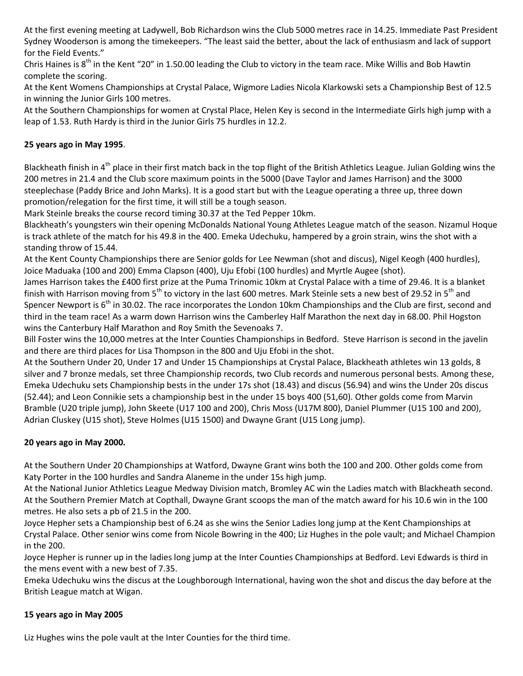At the first evening meeting at Ladywell, Bob Richardson wins the Club 5000 metres race in 14.25. Immediate Past President Sydney Wooderson is among the timekeepers. "The least said the better, about the lack of enthusiasm and lack of support for the Field Events."

Chris Haines is  $8<sup>th</sup>$  in the Kent "20" in 1.50.00 leading the Club to victory in the team race. Mike Willis and Bob Hawtin complete the scoring.

At the Kent Womens Championships at Crystal Palace, Wigmore Ladies Nicola Klarkowski sets a Championship Best of 12.5 in winning the Junior Girls 100 metres.

At the Southern Championships for women at Crystal Place, Helen Key is second in the Intermediate Girls high jump with a leap of 1.53. Ruth Hardy is third in the Junior Girls 75 hurdles in 12.2.

## **25 years ago in May 1995**.

Blackheath finish in 4<sup>th</sup> place in their first match back in the top flight of the British Athletics League. Julian Golding wins the 200 metres in 21.4 and the Club score maximum points in the 5000 (Dave Taylor and James Harrison) and the 3000 steeplechase (Paddy Brice and John Marks). It is a good start but with the League operating a three up, three down promotion/relegation for the first time, it will still be a tough season.

Mark Steinle breaks the course record timing 30.37 at the Ted Pepper 10km.

Blackheath's youngsters win their opening McDonalds National Young Athletes League match of the season. Nizamul Hoque is track athlete of the match for his 49.8 in the 400. Emeka Udechuku, hampered by a groin strain, wins the shot with a standing throw of 15.44.

At the Kent County Championships there are Senior golds for Lee Newman (shot and discus), Nigel Keogh (400 hurdles), Joice Maduaka (100 and 200) Emma Clapson (400), Uju Efobi (100 hurdles) and Myrtle Augee (shot).

James Harrison takes the £400 first prize at the Puma Trinomic 10km at Crystal Palace with a time of 29.46. It is a blanket finish with Harrison moving from 5<sup>th</sup> to victory in the last 600 metres. Mark Steinle sets a new best of 29.52 in 5<sup>th</sup> and Spencer Newport is 6<sup>th</sup> in 30.02. The race incorporates the London 10km Championships and the Club are first, second and third in the team race! As a warm down Harrison wins the Camberley Half Marathon the next day in 68.00. Phil Hogston wins the Canterbury Half Marathon and Roy Smith the Sevenoaks 7.

Bill Foster wins the 10,000 metres at the Inter Counties Championships in Bedford. Steve Harrison is second in the javelin and there are third places for Lisa Thompson in the 800 and Uju Efobi in the shot.

At the Southern Under 20, Under 17 and Under 15 Championships at Crystal Palace, Blackheath athletes win 13 golds, 8 silver and 7 bronze medals, set three Championship records, two Club records and numerous personal bests. Among these, Emeka Udechuku sets Championship bests in the under 17s shot (18.43) and discus (56.94) and wins the Under 20s discus (52.44); and Leon Connikie sets a championship best in the under 15 boys 400 (51,60). Other golds come from Marvin Bramble (U20 triple jump), John Skeete (U17 100 and 200), Chris Moss (U17M 800), Daniel Plummer (U15 100 and 200), Adrian Cluskey (U15 shot), Steve Holmes (U15 1500) and Dwayne Grant (U15 Long jump).

## **20 years ago in May 2000.**

At the Southern Under 20 Championships at Watford, Dwayne Grant wins both the 100 and 200. Other golds come from Katy Porter in the 100 hurdles and Sandra Alaneme in the under 15s high jump.

At the National Junior Athletics League Medway Division match, Bromley AC win the Ladies match with Blackheath second. At the Southern Premier Match at Copthall, Dwayne Grant scoops the man of the match award for his 10.6 win in the 100 metres. He also sets a pb of 21.5 in the 200.

Joyce Hepher sets a Championship best of 6.24 as she wins the Senior Ladies long jump at the Kent Championships at Crystal Palace. Other senior wins come from Nicole Bowring in the 400; Liz Hughes in the pole vault; and Michael Champion in the 200.

Joyce Hepher is runner up in the ladies long jump at the Inter Counties Championships at Bedford. Levi Edwards is third in the mens event with a new best of 7.35.

Emeka Udechuku wins the discus at the Loughborough International, having won the shot and discus the day before at the British League match at Wigan.

# **15 years ago in May 2005**

Liz Hughes wins the pole vault at the Inter Counties for the third time.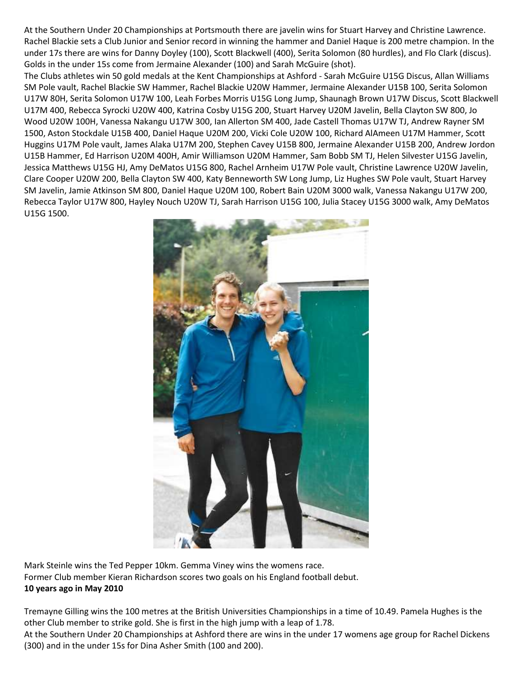At the Southern Under 20 Championships at Portsmouth there are javelin wins for Stuart Harvey and Christine Lawrence. Rachel Blackie sets a Club Junior and Senior record in winning the hammer and Daniel Haque is 200 metre champion. In the under 17s there are wins for Danny Doyley (100), Scott Blackwell (400), Serita Solomon (80 hurdles), and Flo Clark (discus). Golds in the under 15s come from Jermaine Alexander (100) and Sarah McGuire (shot).

The Clubs athletes win 50 gold medals at the Kent Championships at Ashford - Sarah McGuire U15G Discus, Allan Williams SM Pole vault, Rachel Blackie SW Hammer, Rachel Blackie U20W Hammer, Jermaine Alexander U15B 100, Serita Solomon U17W 80H, Serita Solomon U17W 100, Leah Forbes Morris U15G Long Jump, Shaunagh Brown U17W Discus, Scott Blackwell U17M 400, Rebecca Syrocki U20W 400, Katrina Cosby U15G 200, Stuart Harvey U20M Javelin, Bella Clayton SW 800, Jo Wood U20W 100H, Vanessa Nakangu U17W 300, Ian Allerton SM 400, Jade Castell Thomas U17W TJ, Andrew Rayner SM 1500, Aston Stockdale U15B 400, Daniel Haque U20M 200, Vicki Cole U20W 100, Richard AlAmeen U17M Hammer, Scott Huggins U17M Pole vault, James Alaka U17M 200, Stephen Cavey U15B 800, Jermaine Alexander U15B 200, Andrew Jordon U15B Hammer, Ed Harrison U20M 400H, Amir Williamson U20M Hammer, Sam Bobb SM TJ, Helen Silvester U15G Javelin, Jessica Matthews U15G HJ, Amy DeMatos U15G 800, Rachel Arnheim U17W Pole vault, Christine Lawrence U20W Javelin, Clare Cooper U20W 200, Bella Clayton SW 400, Katy Benneworth SW Long Jump, Liz Hughes SW Pole vault, Stuart Harvey SM Javelin, Jamie Atkinson SM 800, Daniel Haque U20M 100, Robert Bain U20M 3000 walk, Vanessa Nakangu U17W 200, Rebecca Taylor U17W 800, Hayley Nouch U20W TJ, Sarah Harrison U15G 100, Julia Stacey U15G 3000 walk, Amy DeMatos U15G 1500.



Mark Steinle wins the Ted Pepper 10km. Gemma Viney wins the womens race. Former Club member Kieran Richardson scores two goals on his England football debut. **10 years ago in May 2010**

Tremayne Gilling wins the 100 metres at the British Universities Championships in a time of 10.49. Pamela Hughes is the other Club member to strike gold. She is first in the high jump with a leap of 1.78.

At the Southern Under 20 Championships at Ashford there are wins in the under 17 womens age group for Rachel Dickens (300) and in the under 15s for Dina Asher Smith (100 and 200).